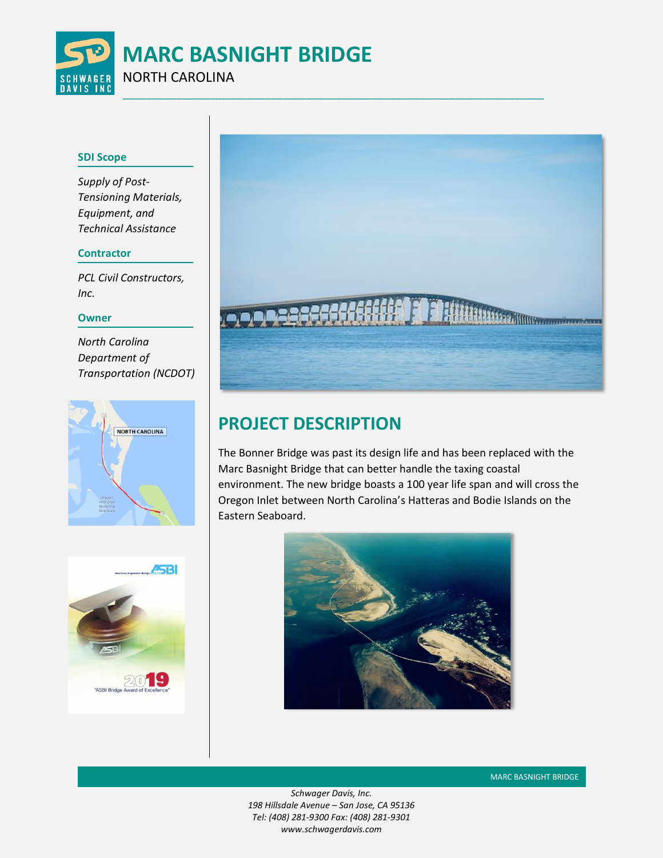

### **SDI Scope**

*Supply of Post-Tensioning Materials, Equipment, and Technical Assistance*

## **Contractor**

*PCL Civil Constructors, Inc.* 

### **Owner**

*North Carolina Department of Transportation (NCDOT)*





# **PROJECT DESCRIPTION**

The Bonner Bridge was past its design life and has been replaced with the Marc Basnight Bridge that can better handle the taxing coastal environment. The new bridge boasts a 100 year life span and will cross the Oregon Inlet between North Carolina's Hatteras and Bodie Islands on the Eastern Seaboard.





*Schwager Davis, Inc. 198 Hillsdale Avenue – San Jose, CA 95136 Tel: (408) 281-9300 Fax: (408) 281-9301 www.schwagerdavis.com*

MARC BASNIGHT BRIDGE